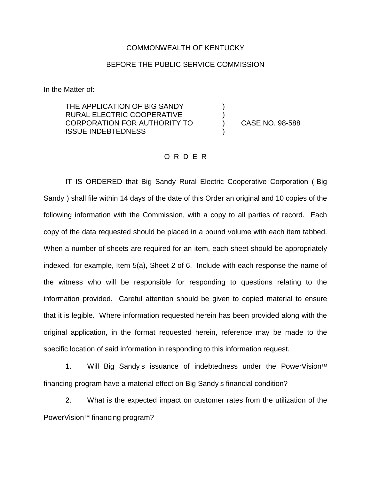## COMMONWEALTH OF KENTUCKY

## BEFORE THE PUBLIC SERVICE COMMISSION

) )

)

In the Matter of:

THE APPLICATION OF BIG SANDY RURAL ELECTRIC COOPERATIVE CORPORATION FOR AUTHORITY TO ISSUE INDEBTEDNESS

) CASE NO. 98-588

## O R D E R

IT IS ORDERED that Big Sandy Rural Electric Cooperative Corporation ( Big Sandy ) shall file within 14 days of the date of this Order an original and 10 copies of the following information with the Commission, with a copy to all parties of record. Each copy of the data requested should be placed in a bound volume with each item tabbed. When a number of sheets are required for an item, each sheet should be appropriately indexed, for example, Item 5(a), Sheet 2 of 6. Include with each response the name of the witness who will be responsible for responding to questions relating to the information provided. Careful attention should be given to copied material to ensure that it is legible. Where information requested herein has been provided along with the original application, in the format requested herein, reference may be made to the specific location of said information in responding to this information request.

1. Will Big Sandy s issuance of indebtedness under the PowerVision<sup>™</sup> financing program have a material effect on Big Sandy s financial condition?

2. What is the expected impact on customer rates from the utilization of the PowerVision<sup>™</sup> financing program?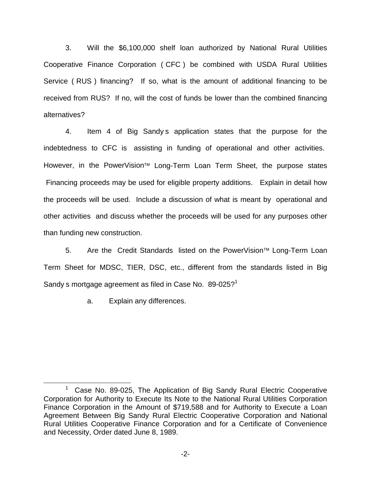3. Will the \$6,100,000 shelf loan authorized by National Rural Utilities Cooperative Finance Corporation ( CFC ) be combined with USDA Rural Utilities Service (RUS) financing? If so, what is the amount of additional financing to be received from RUS? If no, will the cost of funds be lower than the combined financing alternatives?

4. Item 4 of Big Sandy s application states that the purpose for the indebtedness to CFC is assisting in funding of operational and other activities. However, in the PowerVision<sup>™</sup> Long-Term Loan Term Sheet, the purpose states Financing proceeds may be used for eligible property additions. Explain in detail how the proceeds will be used. Include a discussion of what is meant by operational and other activities and discuss whether the proceeds will be used for any purposes other than funding new construction.

5. Are the Credit Standards listed on the PowerVision™ Long-Term Loan Term Sheet for MDSC, TIER, DSC, etc., different from the standards listed in Big Sandy s mortgage agreement as filed in Case No.  $89-025$ ?<sup>1</sup>

a. Explain any differences.

 $1$  Case No. 89-025, The Application of Big Sandy Rural Electric Cooperative Corporation for Authority to Execute Its Note to the National Rural Utilities Corporation Finance Corporation in the Amount of \$719,588 and for Authority to Execute a Loan Agreement Between Big Sandy Rural Electric Cooperative Corporation and National Rural Utilities Cooperative Finance Corporation and for a Certificate of Convenience and Necessity, Order dated June 8, 1989.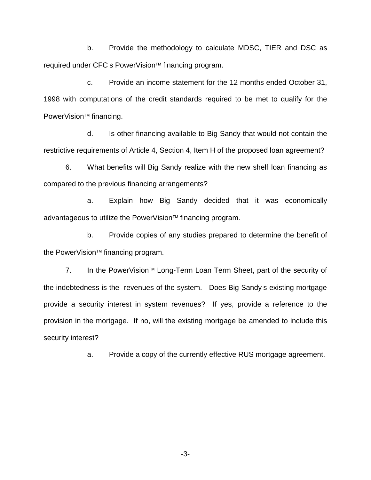b. Provide the methodology to calculate MDSC, TIER and DSC as required under CFC s PowerVision™ financing program.

c. Provide an income statement for the 12 months ended October 31, 1998 with computations of the credit standards required to be met to qualify for the PowerVision<sup>™</sup> financing.

d. Is other financing available to Big Sandy that would not contain the restrictive requirements of Article 4, Section 4, Item H of the proposed loan agreement?

6. What benefits will Big Sandy realize with the new shelf loan financing as compared to the previous financing arrangements?

a. Explain how Big Sandy decided that it was economically advantageous to utilize the PowerVision™ financing program.

b. Provide copies of any studies prepared to determine the benefit of the PowerVision<sup>™</sup> financing program.

7. In the PowerVision<sup>™</sup> Long-Term Loan Term Sheet, part of the security of the indebtedness is the revenues of the system. Does Big Sandy s existing mortgage provide a security interest in system revenues? If yes, provide a reference to the provision in the mortgage. If no, will the existing mortgage be amended to include this security interest?

a. Provide a copy of the currently effective RUS mortgage agreement.

-3-